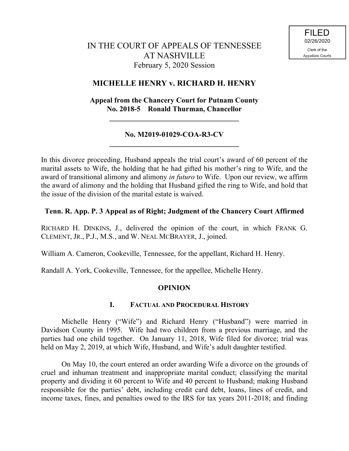# **MICHELLE HENRY v. RICHARD H. HENRY**

# **Appeal from the Chancery Court for Putnam County No. 2018-5 Ronald Thurman, Chancellor**

**\_\_\_\_\_\_\_\_\_\_\_\_\_\_\_\_\_\_\_\_\_\_\_\_\_\_\_\_\_\_\_\_\_\_\_**

## **No. M2019-01029-COA-R3-CV \_\_\_\_\_\_\_\_\_\_\_\_\_\_\_\_\_\_\_\_\_\_\_\_\_\_\_\_\_\_\_\_\_\_\_**

In this divorce proceeding, Husband appeals the trial court's award of 60 percent of the marital assets to Wife, the holding that he had gifted his mother's ring to Wife, and the award of transitional alimony and alimony *in futuro* to Wife. Upon our review, we affirm the award of alimony and the holding that Husband gifted the ring to Wife, and hold that the issue of the division of the marital estate is waived.

# **Tenn. R. App. P. 3 Appeal as of Right; Judgment of the Chancery Court Affirmed**

RICHARD H. DINKINS, J., delivered the opinion of the court, in which FRANK G. CLEMENT, JR., P.J., M.S., and W. NEAL MCBRAYER, J., joined.

William A. Cameron, Cookeville, Tennessee, for the appellant, Richard H. Henry.

Randall A. York, Cookeville, Tennessee, for the appellee, Michelle Henry.

### **OPINION**

### **I. FACTUAL AND PROCEDURAL HISTORY**

Michelle Henry ("Wife") and Richard Henry ("Husband") were married in Davidson County in 1995. Wife had two children from a previous marriage, and the parties had one child together. On January 11, 2018, Wife filed for divorce; trial was held on May 2, 2019, at which Wife, Husband, and Wife's adult daughter testified.

On May 10, the court entered an order awarding Wife a divorce on the grounds of cruel and inhuman treatment and inappropriate marital conduct; classifying the marital property and dividing it 60 percent to Wife and 40 percent to Husband; making Husband responsible for the parties' debt, including credit card debt, loans, lines of credit, and income taxes, fines, and penalties owed to the IRS for tax years 2011-2018; and finding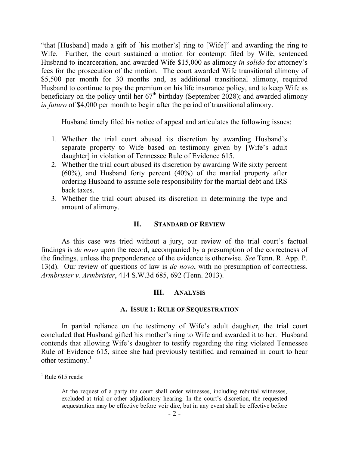"that [Husband] made a gift of [his mother's] ring to [Wife]" and awarding the ring to Wife. Further, the court sustained a motion for contempt filed by Wife, sentenced Husband to incarceration, and awarded Wife \$15,000 as alimony *in solido* for attorney's fees for the prosecution of the motion. The court awarded Wife transitional alimony of \$5,500 per month for 30 months and, as additional transitional alimony, required Husband to continue to pay the premium on his life insurance policy, and to keep Wife as beneficiary on the policy until her  $67<sup>th</sup>$  birthday (September 2028); and awarded alimony *in futuro* of \$4,000 per month to begin after the period of transitional alimony.

Husband timely filed his notice of appeal and articulates the following issues:

- 1. Whether the trial court abused its discretion by awarding Husband's separate property to Wife based on testimony given by [Wife's adult daughter] in violation of Tennessee Rule of Evidence 615.
- 2. Whether the trial court abused its discretion by awarding Wife sixty percent (60%), and Husband forty percent (40%) of the martial property after ordering Husband to assume sole responsibility for the martial debt and IRS back taxes.
- 3. Whether the trial court abused its discretion in determining the type and amount of alimony.

### **II. STANDARD OF REVIEW**

As this case was tried without a jury, our review of the trial court's factual findings is *de novo* upon the record, accompanied by a presumption of the correctness of the findings, unless the preponderance of the evidence is otherwise. *See* Tenn. R. App. P. 13(d). Our review of questions of law is *de novo*, with no presumption of correctness. *Armbrister v. Armbrister*, 414 S.W.3d 685, 692 (Tenn. 2013).

### **III. ANALYSIS**

#### **A. ISSUE 1: RULE OF SEQUESTRATION**

In partial reliance on the testimony of Wife's adult daughter, the trial court concluded that Husband gifted his mother's ring to Wife and awarded it to her. Husband contends that allowing Wife's daughter to testify regarding the ring violated Tennessee Rule of Evidence 615, since she had previously testified and remained in court to hear other testimony.<sup>1</sup>

 $<sup>1</sup>$  Rule 615 reads:</sup>

At the request of a party the court shall order witnesses, including rebuttal witnesses, excluded at trial or other adjudicatory hearing. In the court's discretion, the requested sequestration may be effective before voir dire, but in any event shall be effective before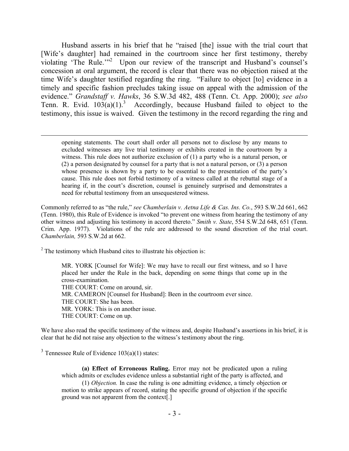Husband asserts in his brief that he "raised [the] issue with the trial court that [Wife's daughter] had remained in the courtroom since her first testimony, thereby violating 'The Rule."<sup>2</sup> Upon our review of the transcript and Husband's counsel's concession at oral argument, the record is clear that there was no objection raised at the time Wife's daughter testified regarding the ring. "Failure to object [to] evidence in a timely and specific fashion precludes taking issue on appeal with the admission of the evidence." *Grandstaff v. Hawks*, 36 S.W.3d 482, 488 (Tenn. Ct. App. 2000); *see also* Tenn. R. Evid.  $103(a)(1)$ <sup>3</sup> Accordingly, because Husband failed to object to the testimony, this issue is waived. Given the testimony in the record regarding the ring and

opening statements. The court shall order all persons not to disclose by any means to excluded witnesses any live trial testimony or exhibits created in the courtroom by a witness. This rule does not authorize exclusion of (1) a party who is a natural person, or (2) a person designated by counsel for a party that is not a natural person, or (3) a person whose presence is shown by a party to be essential to the presentation of the party's cause. This rule does not forbid testimony of a witness called at the rebuttal stage of a hearing if, in the court's discretion, counsel is genuinely surprised and demonstrates a need for rebuttal testimony from an unsequestered witness.

Commonly referred to as "the rule," *see Chamberlain v. Aetna Life & Cas. Ins. Co.*, 593 S.W.2d 661, 662 (Tenn. 1980), this Rule of Evidence is invoked "to prevent one witness from hearing the testimony of any other witness and adjusting his testimony in accord thereto." *Smith v. State*, 554 S.W.2d 648, 651 (Tenn. Crim. App. 1977). Violations of the rule are addressed to the sound discretion of the trial court. *Chamberlain,* 593 S.W.2d at 662.

 $2^2$  The testimony which Husband cites to illustrate his objection is:

MR. YORK [Counsel for Wife]: We may have to recall our first witness, and so I have placed her under the Rule in the back, depending on some things that come up in the cross-examination. THE COURT: Come on around, sir. MR. CAMERON [Counsel for Husband]: Been in the courtroom ever since. THE COURT: She has been. MR. YORK: This is on another issue. THE COURT: Come on up.

We have also read the specific testimony of the witness and, despite Husband's assertions in his brief, it is clear that he did not raise any objection to the witness's testimony about the ring.

<sup>3</sup> Tennessee Rule of Evidence  $103(a)(1)$  states:

 $\overline{a}$ 

**(a) Effect of Erroneous Ruling.** Error may not be predicated upon a ruling which admits or excludes evidence unless a substantial right of the party is affected, and

(1) *Objection.* In case the ruling is one admitting evidence, a timely objection or motion to strike appears of record, stating the specific ground of objection if the specific ground was not apparent from the context[.]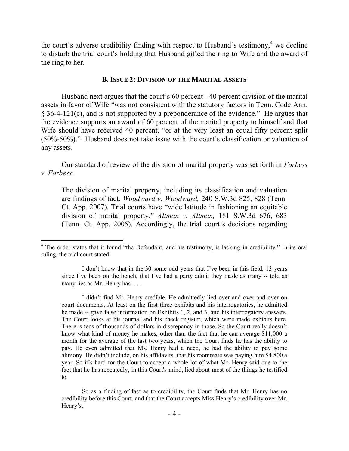the court's adverse credibility finding with respect to Husband's testimony,<sup>4</sup> we decline to disturb the trial court's holding that Husband gifted the ring to Wife and the award of the ring to her.

#### **B. ISSUE 2: DIVISION OF THE MARITAL ASSETS**

Husband next argues that the court's 60 percent - 40 percent division of the marital assets in favor of Wife "was not consistent with the statutory factors in Tenn. Code Ann. § 36-4-121(c), and is not supported by a preponderance of the evidence." He argues that the evidence supports an award of 60 percent of the marital property to himself and that Wife should have received 40 percent, "or at the very least an equal fifty percent split (50%-50%)." Husband does not take issue with the court's classification or valuation of any assets.

Our standard of review of the division of marital property was set forth in *Forbess v. Forbess*:

The division of marital property, including its classification and valuation are findings of fact. *Woodward v. Woodward,* 240 S.W.3d 825, 828 (Tenn. Ct. App. 2007). Trial courts have "wide latitude in fashioning an equitable division of marital property." *Altman v. Altman,* 181 S.W.3d 676, 683 (Tenn. Ct. App. 2005). Accordingly, the trial court's decisions regarding

 $\overline{a}$ 

I didn't find Mr. Henry credible. He admittedly lied over and over and over on court documents. At least on the first three exhibits and his interrogatories, he admitted he made -- gave false information on Exhibits 1, 2, and 3, and his interrogatory answers. The Court looks at his journal and his check register, which were made exhibits here. There is tens of thousands of dollars in discrepancy in those. So the Court really doesn't know what kind of money he makes, other than the fact that he can average \$11,000 a month for the average of the last two years, which the Court finds he has the ability to pay. He even admitted that Ms. Henry had a need, he had the ability to pay some alimony. He didn't include, on his affidavits, that his roommate was paying him \$4,800 a year. So it's hard for the Court to accept a whole lot of what Mr. Henry said due to the fact that he has repeatedly, in this Court's mind, lied about most of the things he testified to.

So as a finding of fact as to credibility, the Court finds that Mr. Henry has no credibility before this Court, and that the Court accepts Miss Henry's credibility over Mr. Henry's.

<sup>&</sup>lt;sup>4</sup> The order states that it found "the Defendant, and his testimony, is lacking in credibility." In its oral ruling, the trial court stated:

I don't know that in the 30-some-odd years that I've been in this field, 13 years since I've been on the bench, that I've had a party admit they made as many -- told as many lies as Mr. Henry has. . . .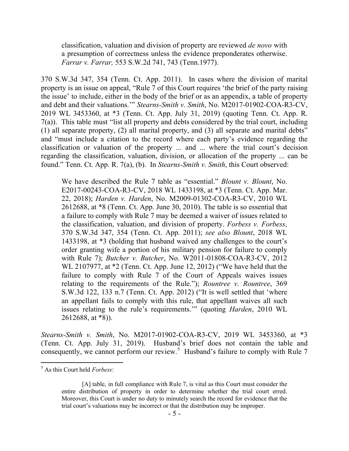classification, valuation and division of property are reviewed *de novo* with a presumption of correctness unless the evidence preponderates otherwise. *Farrar v. Farrar,* 553 S.W.2d 741, 743 (Tenn.1977).

370 S.W.3d 347, 354 (Tenn. Ct. App. 2011). In cases where the division of marital property is an issue on appeal, "Rule 7 of this Court requires 'the brief of the party raising the issue' to include, either in the body of the brief or as an appendix, a table of property and debt and their valuations.'" *Stearns-Smith v. Smith*, No. M2017-01902-COA-R3-CV, 2019 WL 3453360, at \*3 (Tenn. Ct. App. July 31, 2019) (quoting Tenn. Ct. App. R. 7(a)). This table must "list all property and debts considered by the trial court, including (1) all separate property, (2) all marital property, and (3) all separate and marital debts" and "must include a citation to the record where each party's evidence regarding the classification or valuation of the property ... and ... where the trial court's decision regarding the classification, valuation, division, or allocation of the property ... can be found." Tenn. Ct. App. R. 7(a), (b). In *Stearns-Smith v. Smith*, this Court observed:

We have described the Rule 7 table as "essential." *Blount v. Blount*, No. E2017-00243-COA-R3-CV, 2018 WL 1433198, at \*3 (Tenn. Ct. App. Mar. 22, 2018); *Harden v. Harden*, No. M2009-01302-COA-R3-CV, 2010 WL 2612688, at \*8 (Tenn. Ct. App. June 30, 2010). The table is so essential that a failure to comply with Rule 7 may be deemed a waiver of issues related to the classification, valuation, and division of property. *Forbess v. Forbess*, 370 S.W.3d 347, 354 (Tenn. Ct. App. 2011); *see also Blount*, 2018 WL 1433198, at \*3 (holding that husband waived any challenges to the court's order granting wife a portion of his military pension for failure to comply with Rule 7); *Butcher v. Butcher*, No. W2011-01808-COA-R3-CV, 2012 WL 2107977, at \*2 (Tenn. Ct. App. June 12, 2012) ("We have held that the failure to comply with Rule 7 of the Court of Appeals waives issues relating to the requirements of the Rule."); *Rountree v. Rountree*, 369 S.W.3d 122, 133 n.7 (Tenn. Ct. App. 2012) ("It is well settled that 'where an appellant fails to comply with this rule, that appellant waives all such issues relating to the rule's requirements.'" (quoting *Harden*, 2010 WL 2612688, at \*8)).

*Stearns-Smith v. Smith*, No. M2017-01902-COA-R3-CV, 2019 WL 3453360, at \*3 (Tenn. Ct. App. July 31, 2019). Husband's brief does not contain the table and consequently, we cannot perform our review. <sup>5</sup> Husband's failure to comply with Rule 7

<sup>5</sup> As this Court held *Forbess*:

<sup>[</sup>A] table, in full compliance with Rule 7, is vital as this Court must consider the entire distribution of property in order to determine whether the trial court erred. Moreover, this Court is under no duty to minutely search the record for evidence that the trial court's valuations may be incorrect or that the distribution may be improper.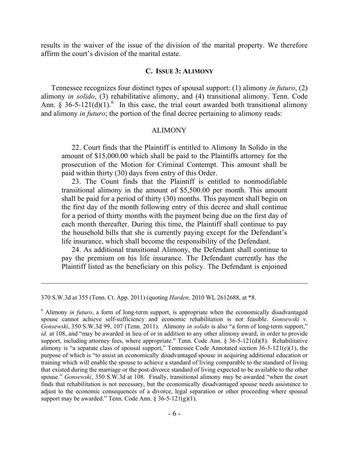results in the waiver of the issue of the division of the marital property. We therefore affirm the court's division of the marital estate.

#### **C. ISSUE 3: ALIMONY**

Tennessee recognizes four distinct types of spousal support: (1) alimony *in futuro*, (2) alimony *in solido*, (3) rehabilitative alimony, and (4) transitional alimony. Tenn. Code Ann. § 36-5-121(d)(1).<sup>6</sup> In this case, the trial court awarded both transitional alimony and alimony *in futuro*; the portion of the final decree pertaining to alimony reads:

#### ALIMONY

22. Court finds that the Plaintiff is entitled to Alimony In Solido in the amount of \$15,000.00 which shall be paid to the Plaintiffs attorney for the prosecution of the Motion for Criminal Contempt. This amount shall be paid within thirty (30) days from entry of this Order.

23. The Count finds that the Plaintiff is entitled to nonmodifiable transitional alimony in the amount of \$5,500.00 per month. This amount shall be paid for a period of thirty (30) months. This payment shall begin on the first day of the month following entry of this decree and shall continue for a period of thirty months with the payment being due on the first day of each month thereafter. During this time, the Plaintiff shall continue to pay the household bills that she is currently paying except for the Defendant's life insurance, which shall become the responsibility of the Defendant.

24. As additional transitional Alimony, the Defendant shall continue to pay the premium on his life insurance. The Defendant currently has the Plaintiff listed as the beneficiary on this policy. The Defendant is enjoined

<sup>370</sup> S.W.3d at 355 (Tenn. Ct. App. 2011) (quoting *Harden,* 2010 WL 2612688, at \*8.

<sup>6</sup> Alimony *in futuro*, a form of long-term support, is appropriate when the economically disadvantaged spouse cannot achieve self-sufficiency and economic rehabilitation is not feasible. *Gonsewski v. Gonsewski*, 350 S.W.3d 99, 107 (Tenn. 2011). Alimony *in solido* is also "a form of long-term support," *id.* at 108, and "may be awarded in lieu of or in addition to any other alimony award, in order to provide support, including attorney fees, where appropriate." Tenn. Code Ann.  $\S$  36-5-121(d)(5). Rehabilitative alimony is "a separate class of spousal support," Tennessee Code Annotated section 36-5-121(e)(1), the purpose of which is "to assist an economically disadvantaged spouse in acquiring additional education or training which will enable the spouse to achieve a standard of living comparable to the standard of living that existed during the marriage or the post-divorce standard of living expected to be available to the other spouse." *Gonsewski*, 350 S.W.3d at 108. Finally, transitional alimony may be awarded "when the court finds that rehabilitation is not necessary, but the economically disadvantaged spouse needs assistance to adjust to the economic consequences of a divorce, legal separation or other proceeding where spousal support may be awarded." Tenn. Code Ann.  $\S$  36-5-121(g)(1).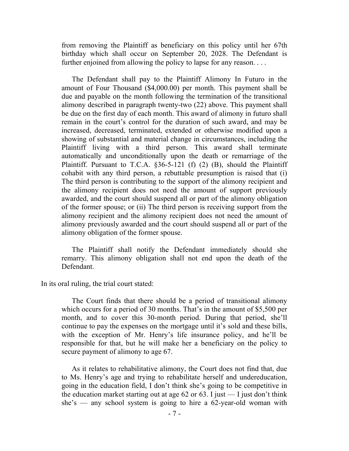from removing the Plaintiff as beneficiary on this policy until her 67th birthday which shall occur on September 20, 2028. The Defendant is further enjoined from allowing the policy to lapse for any reason. . . .

The Defendant shall pay to the Plaintiff Alimony In Futuro in the amount of Four Thousand (\$4,000.00) per month. This payment shall be due and payable on the month following the termination of the transitional alimony described in paragraph twenty-two (22) above. This payment shall be due on the first day of each month. This award of alimony in futuro shall remain in the court's control for the duration of such award, and may be increased, decreased, terminated, extended or otherwise modified upon a showing of substantial and material change in circumstances, including the Plaintiff living with a third person. This award shall terminate automatically and unconditionally upon the death or remarriage of the Plaintiff. Pursuant to T.C.A.  $\S 36-5-121$  (f) (2) (B), should the Plaintiff cohabit with any third person, a rebuttable presumption is raised that (i) The third person is contributing to the support of the alimony recipient and the alimony recipient does not need the amount of support previously awarded, and the court should suspend all or part of the alimony obligation of the former spouse; or (ii) The third person is receiving support from the alimony recipient and the alimony recipient does not need the amount of alimony previously awarded and the court should suspend all or part of the alimony obligation of the former spouse.

The Plaintiff shall notify the Defendant immediately should she remarry. This alimony obligation shall not end upon the death of the Defendant.

In its oral ruling, the trial court stated:

The Court finds that there should be a period of transitional alimony which occurs for a period of 30 months. That's in the amount of \$5,500 per month, and to cover this 30-month period. During that period, she'll continue to pay the expenses on the mortgage until it's sold and these bills, with the exception of Mr. Henry's life insurance policy, and he'll be responsible for that, but he will make her a beneficiary on the policy to secure payment of alimony to age 67.

As it relates to rehabilitative alimony, the Court does not find that, due to Ms. Henry's age and trying to rehabilitate herself and undereducation, going in the education field, I don't think she's going to be competitive in the education market starting out at age 62 or 63. I just  $-$  I just don't think  $she's$  — any school system is going to hire a 62-year-old woman with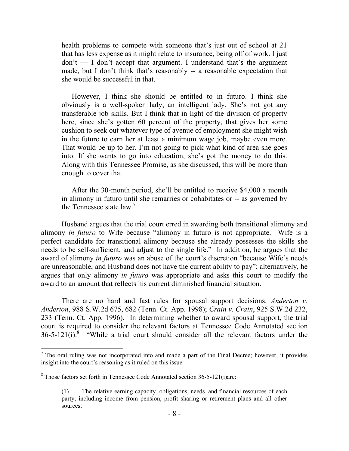health problems to compete with someone that's just out of school at 21 that has less expense as it might relate to insurance, being off of work. I just don't — I don't accept that argument. I understand that's the argument made, but I don't think that's reasonably -- a reasonable expectation that she would be successful in that.

However, I think she should be entitled to in futuro. I think she obviously is a well-spoken lady, an intelligent lady. She's not got any transferable job skills. But I think that in light of the division of property here, since she's gotten 60 percent of the property, that gives her some cushion to seek out whatever type of avenue of employment she might wish in the future to earn her at least a minimum wage job, maybe even more. That would be up to her. I'm not going to pick what kind of area she goes into. If she wants to go into education, she's got the money to do this. Along with this Tennessee Promise, as she discussed, this will be more than enough to cover that.

After the 30-month period, she'll be entitled to receive \$4,000 a month in alimony in futuro until she remarries or cohabitates or -- as governed by the Tennessee state  $law<sup>7</sup>$ 

Husband argues that the trial court erred in awarding both transitional alimony and alimony *in futuro* to Wife because "alimony in futuro is not appropriate. Wife is a perfect candidate for transitional alimony because she already possesses the skills she needs to be self-sufficient, and adjust to the single life." In addition, he argues that the award of alimony *in futuro* was an abuse of the court's discretion "because Wife's needs are unreasonable, and Husband does not have the current ability to pay"; alternatively, he argues that only alimony *in futuro* was appropriate and asks this court to modify the award to an amount that reflects his current diminished financial situation.

There are no hard and fast rules for spousal support decisions. *Anderton v. Anderton*, 988 S.W.2d 675, 682 (Tenn. Ct. App. 1998); *Crain v. Crain*, 925 S.W.2d 232, 233 (Tenn. Ct. App. 1996). In determining whether to award spousal support, the trial court is required to consider the relevant factors at Tennessee Code Annotated section  $36-5-121(i)$ .<sup>8</sup> "While a trial court should consider all the relevant factors under the

<sup>7</sup> The oral ruling was not incorporated into and made a part of the Final Decree; however, it provides insight into the court's reasoning as it ruled on this issue.

<sup>8</sup> Those factors set forth in Tennessee Code Annotated section 36-5-121(i)are:

<sup>(1)</sup> The relative earning capacity, obligations, needs, and financial resources of each party, including income from pension, profit sharing or retirement plans and all other sources;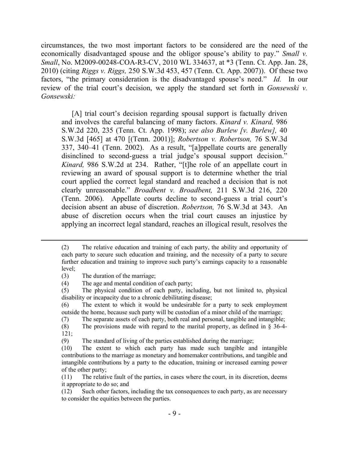circumstances, the two most important factors to be considered are the need of the economically disadvantaged spouse and the obligor spouse's ability to pay." *Small v. Small*, No. M2009-00248-COA-R3-CV, 2010 WL 334637, at \*3 (Tenn. Ct. App. Jan. 28, 2010) (citing *Riggs v. Riggs,* 250 S.W.3d 453, 457 (Tenn. Ct. App. 2007)). Of these two factors, "the primary consideration is the disadvantaged spouse's need." *Id.* In our review of the trial court's decision, we apply the standard set forth in *Gonsewski v. Gonsewski:*

[A] trial court's decision regarding spousal support is factually driven and involves the careful balancing of many factors. *Kinard v. Kinard,* 986 S.W.2d 220, 235 (Tenn. Ct. App. 1998); *see also Burlew [v. Burlew],* 40 S.W.3d [465] at 470 [(Tenn. 2001)]; *Robertson v. Robertson,* 76 S.W.3d 337, 340–41 (Tenn. 2002). As a result, "[a]ppellate courts are generally disinclined to second-guess a trial judge's spousal support decision." *Kinard,* 986 S.W.2d at 234. Rather, "[t]he role of an appellate court in reviewing an award of spousal support is to determine whether the trial court applied the correct legal standard and reached a decision that is not clearly unreasonable." *Broadbent v. Broadbent,* 211 S.W.3d 216, 220 (Tenn. 2006). Appellate courts decline to second-guess a trial court's decision absent an abuse of discretion. *Robertson,* 76 S.W.3d at 343. An abuse of discretion occurs when the trial court causes an injustice by applying an incorrect legal standard, reaches an illogical result, resolves the

<sup>(2)</sup> The relative education and training of each party, the ability and opportunity of each party to secure such education and training, and the necessity of a party to secure further education and training to improve such party's earnings capacity to a reasonable level;

<sup>(3)</sup> The duration of the marriage;

<sup>(4)</sup> The age and mental condition of each party;

<sup>(5)</sup> The physical condition of each party, including, but not limited to, physical disability or incapacity due to a chronic debilitating disease;

<sup>(6)</sup> The extent to which it would be undesirable for a party to seek employment outside the home, because such party will be custodian of a minor child of the marriage;

<sup>(7)</sup> The separate assets of each party, both real and personal, tangible and intangible;

<sup>(8)</sup> The provisions made with regard to the marital property, as defined in § 36-4- 121;

<sup>(9)</sup> The standard of living of the parties established during the marriage;

<sup>(10)</sup> The extent to which each party has made such tangible and intangible contributions to the marriage as monetary and homemaker contributions, and tangible and intangible contributions by a party to the education, training or increased earning power of the other party;

<sup>(11)</sup> The relative fault of the parties, in cases where the court, in its discretion, deems it appropriate to do so; and

<sup>(12)</sup> Such other factors, including the tax consequences to each party, as are necessary to consider the equities between the parties.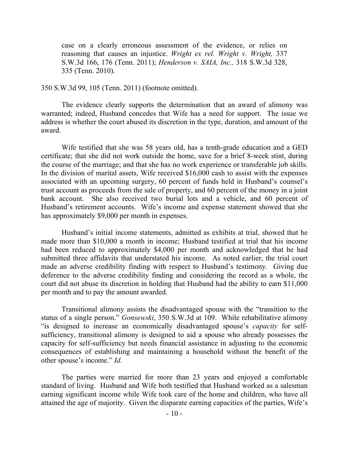case on a clearly erroneous assessment of the evidence, or relies on reasoning that causes an injustice. *Wright ex rel. Wright v. Wright,* 337 S.W.3d 166, 176 (Tenn. 2011); *Henderson v. SAIA, Inc.,* 318 S.W.3d 328, 335 (Tenn. 2010).

### 350 S.W.3d 99, 105 (Tenn. 2011) (footnote omitted).

The evidence clearly supports the determination that an award of alimony was warranted; indeed, Husband concedes that Wife has a need for support. The issue we address is whether the court abused its discretion in the type, duration, and amount of the award.

Wife testified that she was 58 years old, has a tenth-grade education and a GED certificate; that she did not work outside the home, save for a brief 8-week stint, during the course of the marriage; and that she has no work experience or transferable job skills. In the division of marital assets, Wife received \$16,000 cash to assist with the expenses associated with an upcoming surgery, 60 percent of funds held in Husband's counsel's trust account as proceeds from the sale of property, and 60 percent of the money in a joint bank account. She also received two burial lots and a vehicle, and 60 percent of Husband's retirement accounts. Wife's income and expense statement showed that she has approximately \$9,000 per month in expenses.

Husband's initial income statements, admitted as exhibits at trial, showed that he made more than \$10,000 a month in income; Husband testified at trial that his income had been reduced to approximately \$4,000 per month and acknowledged that he had submitted three affidavits that understated his income. As noted earlier, the trial court made an adverse credibility finding with respect to Husband's testimony. Giving due deference to the adverse credibility finding and considering the record as a whole, the court did not abuse its discretion in holding that Husband had the ability to earn \$11,000 per month and to pay the amount awarded.

Transitional alimony assists the disadvantaged spouse with the "transition to the status of a single person." *Gonsewski*, 350 S.W.3d at 109. While rehabilitative alimony "is designed to increase an economically disadvantaged spouse's *capacity* for selfsufficiency, transitional alimony is designed to aid a spouse who already possesses the capacity for self-sufficiency but needs financial assistance in adjusting to the economic consequences of establishing and maintaining a household without the benefit of the other spouse's income." *Id.*

The parties were married for more than 23 years and enjoyed a comfortable standard of living. Husband and Wife both testified that Husband worked as a salesman earning significant income while Wife took care of the home and children, who have all attained the age of majority. Given the disparate earning capacities of the parties, Wife's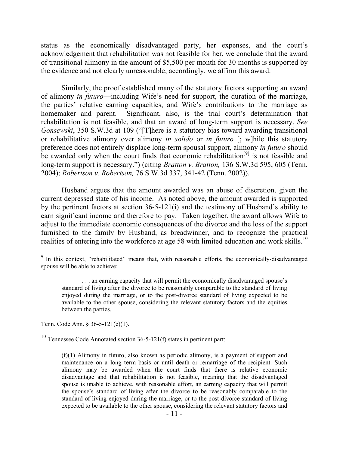status as the economically disadvantaged party, her expenses, and the court's acknowledgement that rehabilitation was not feasible for her, we conclude that the award of transitional alimony in the amount of \$5,500 per month for 30 months is supported by the evidence and not clearly unreasonable; accordingly, we affirm this award.

Similarly, the proof established many of the statutory factors supporting an award of alimony *in futuro*—including Wife's need for support, the duration of the marriage, the parties' relative earning capacities, and Wife's contributions to the marriage as homemaker and parent. Significant, also, is the trial court's determination that rehabilitation is not feasible, and that an award of long-term support is necessary. *See Gonsewski*, 350 S.W.3d at 109 ("[T]here is a statutory bias toward awarding transitional or rehabilitative alimony over alimony *in solido* or *in futuro* [; w]hile this statutory preference does not entirely displace long-term spousal support, alimony *in futuro* should be awarded only when the court finds that economic rehabilitation<sup>[9]</sup> is not feasible and long-term support is necessary.") (citing *Bratton v. Bratton,* 136 S.W.3d 595, 605 (Tenn. 2004); *Robertson v. Robertson,* 76 S.W.3d 337, 341-42 (Tenn. 2002)).

Husband argues that the amount awarded was an abuse of discretion, given the current depressed state of his income. As noted above, the amount awarded is supported by the pertinent factors at section 36-5-121(i) and the testimony of Husband's ability to earn significant income and therefore to pay. Taken together, the award allows Wife to adjust to the immediate economic consequences of the divorce and the loss of the support furnished to the family by Husband, as breadwinner, and to recognize the practical realities of entering into the workforce at age 58 with limited education and work skills.<sup>10</sup>

Tenn. Code Ann. § 36-5-121(e)(1).

 $\overline{a}$ 

<sup>10</sup> Tennessee Code Annotated section  $36-5-121(f)$  states in pertinent part:

<sup>&</sup>lt;sup>9</sup> In this context, "rehabilitated" means that, with reasonable efforts, the economically-disadvantaged spouse will be able to achieve:

<sup>. . .</sup> an earning capacity that will permit the economically disadvantaged spouse's standard of living after the divorce to be reasonably comparable to the standard of living enjoyed during the marriage, or to the post-divorce standard of living expected to be available to the other spouse, considering the relevant statutory factors and the equities between the parties.

<sup>(</sup>f)(1) Alimony in futuro, also known as periodic alimony, is a payment of support and maintenance on a long term basis or until death or remarriage of the recipient. Such alimony may be awarded when the court finds that there is relative economic disadvantage and that rehabilitation is not feasible, meaning that the disadvantaged spouse is unable to achieve, with reasonable effort, an earning capacity that will permit the spouse's standard of living after the divorce to be reasonably comparable to the standard of living enjoyed during the marriage, or to the post-divorce standard of living expected to be available to the other spouse, considering the relevant statutory factors and